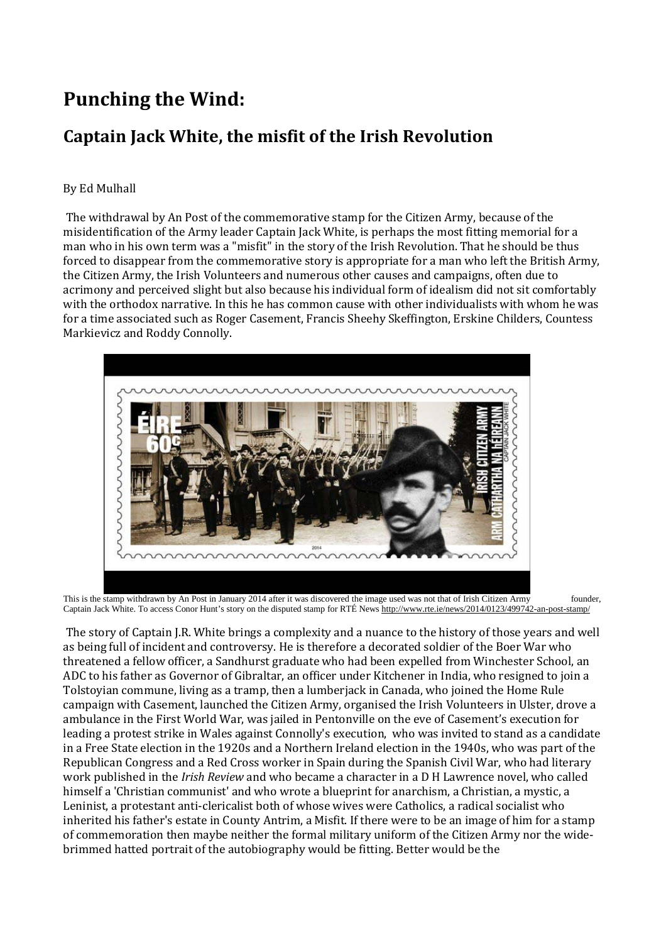## **Punching the Wind:**

## **Captain Jack White, the misfit of the Irish Revolution**

## By Ed Mulhall

The withdrawal by An Post of the commemorative stamp for the Citizen Army, because of the misidentification of the Army leader Captain Jack White, is perhaps the most fitting memorial for a man who in his own term was a "misfit" in the story of the Irish Revolution. That he should be thus forced to disappear from the commemorative story is appropriate for a man who left the British Army, the Citizen Army, the Irish Volunteers and numerous other causes and campaigns, often due to acrimony and perceived slight but also because his individual form of idealism did not sit comfortably with the orthodox narrative. In this he has common cause with other individualists with whom he was for a time associated such as Roger Casement, Francis Sheehy Skeffington, Erskine Childers, Countess Markievicz and Roddy Connolly.



This is the stamp withdrawn by An Post in January 2014 after it was discovered the image used was not that of Irish Citizen Army founder, Captain Jack White. To access Conor Hunt's story on the disputed stamp for RTÉ News<http://www.rte.ie/news/2014/0123/499742-an-post-stamp/>

The story of Captain J.R. White brings a complexity and a nuance to the history of those years and well as being full of incident and controversy. He is therefore a decorated soldier of the Boer War who threatened a fellow officer, a Sandhurst graduate who had been expelled from Winchester School, an ADC to his father as Governor of Gibraltar, an officer under Kitchener in India, who resigned to join a Tolstoyian commune, living as a tramp, then a lumberjack in Canada, who joined the Home Rule campaign with Casement, launched the Citizen Army, organised the Irish Volunteers in Ulster, drove a ambulance in the First World War, was jailed in Pentonville on the eve of Casement's execution for leading a protest strike in Wales against Connolly's execution, who was invited to stand as a candidate in a Free State election in the 1920s and a Northern Ireland election in the 1940s, who was part of the Republican Congress and a Red Cross worker in Spain during the Spanish Civil War, who had literary work published in the *Irish Review* and who became a character in a D H Lawrence novel, who called himself a 'Christian communist' and who wrote a blueprint for anarchism, a Christian, a mystic, a Leninist, a protestant anti-clericalist both of whose wives were Catholics, a radical socialist who inherited his father's estate in County Antrim, a Misfit. If there were to be an image of him for a stamp of commemoration then maybe neither the formal military uniform of the Citizen Army nor the widebrimmed hatted portrait of the autobiography would be fitting. Better would be the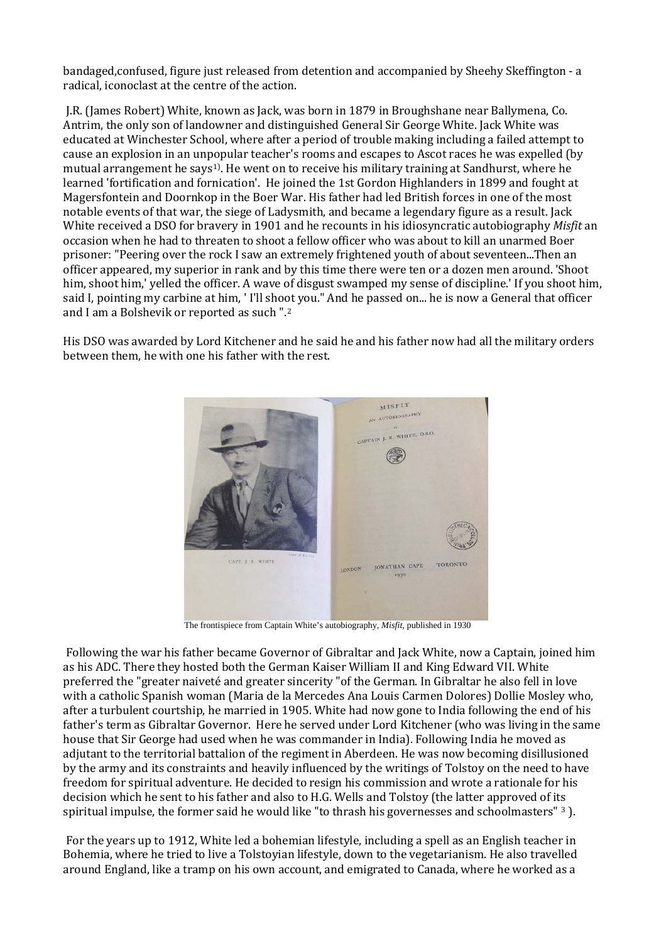bandaged,confused, figure just released from detention and accompanied by Sheehy Skeffington - a radical, iconoclast at the centre of the action.

J.R. (James Robert) White, known as Jack, was born in 1879 in Broughshane near Ballymena, Co. Antrim, the only son of landowner and distinguished General Sir George White. Jack White was educated at Winchester School, where after a period of trouble making including a failed attempt to cause an explosion in an unpopular teacher's rooms and escapes to Ascot races he was expelled (by mutual arrangement he says[1\)](#page-18-0). He went on to receive his military training at Sandhurst, where he learned 'fortification and fornication'. He joined the 1st Gordon Highlanders in 1899 and fought at Magersfontein and Doornkop in the Boer War. His father had led British forces in one of the most notable events of that war, the siege of Ladysmith, and became a legendary figure as a result. Jack White received a DSO for bravery in 1901 and he recounts in his idiosyncratic autobiography *Misfit* an occasion when he had to threaten to shoot a fellow officer who was about to kill an unarmed Boer prisoner: "Peering over the rock I saw an extremely frightened youth of about seventeen...Then an officer appeared, my superior in rank and by this time there were ten or a dozen men around. 'Shoot him, shoot him,' yelled the officer. A wave of disgust swamped my sense of discipline.' If you shoot him, said I, pointing my carbine at him, ' I'll sho[ot](#page-18-1) you." And he passed on... he is now a General that officer and I am a Bolshevik or reported as such ".2

His DSO was awarded by Lord Kitchener and he said he and his father now had all the military orders between them, he with one his father with the rest.



The frontispiece from Captain White's autobiography, *Misfit*, published in 1930

Following the war his father became Governor of Gibraltar and Jack White, now a Captain, joined him as his ADC. There they hosted both the German Kaiser William II and King Edward VII. White preferred the "greater naiveté and greater sincerity "of the German. In Gibraltar he also fell in love with a catholic Spanish woman (Maria de la Mercedes Ana Louis Carmen Dolores) Dollie Mosley who, after a turbulent courtship, he married in 1905. White had now gone to India following the end of his father's term as Gibraltar Governor. Here he served under Lord Kitchener (who was living in the same house that Sir George had used when he was commander in India). Following India he moved as adjutant to the territorial battalion of the regiment in Aberdeen. He was now becoming disillusioned by the army and its constraints and heavily influenced by the writings of Tolstoy on the need to have freedom for spiritual adventure. He decided to resign his commission and wrote a rationale for his decision which he sent to his father and also to H.G. Wells and Tolstoy (the latter approved of it[s](#page-18-2)  spiritual impulse, the former said he would like "to thrash his governesses and schoolmasters" 3 ).

For the years up to 1912, White led a bohemian lifestyle, including a spell as an English teacher in Bohemia, where he tried to live a Tolstoyian lifestyle, down to the vegetarianism. He also travelled around England, like a tramp on his own account, and emigrated to Canada, where he worked as a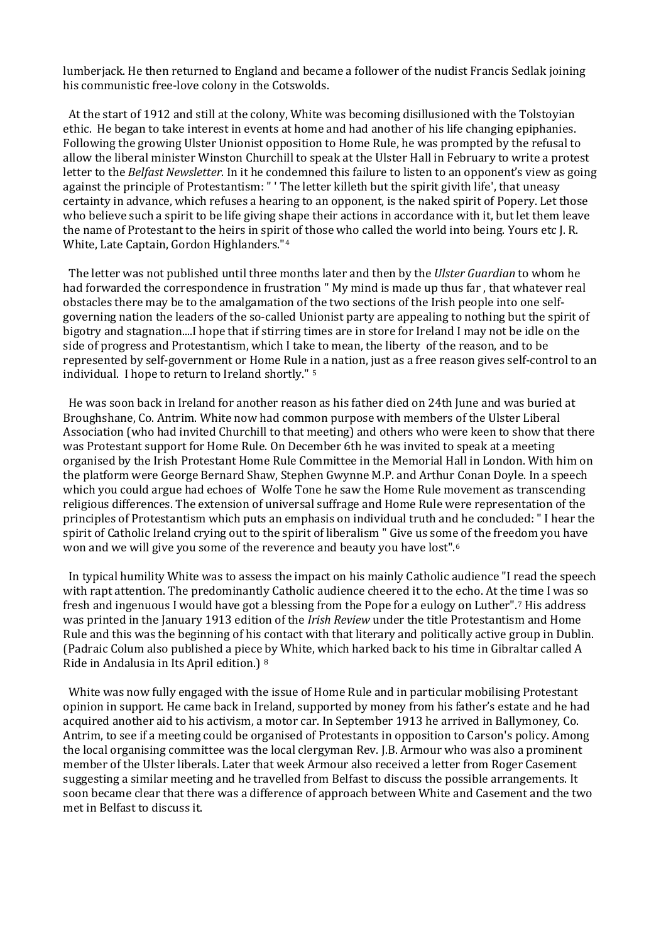lumberjack. He then returned to England and became a follower of the nudist Francis Sedlak joining his communistic free-love colony in the Cotswolds.

 At the start of 1912 and still at the colony, White was becoming disillusioned with the Tolstoyian ethic. He began to take interest in events at home and had another of his life changing epiphanies. Following the growing Ulster Unionist opposition to Home Rule, he was prompted by the refusal to allow the liberal minister Winston Churchill to speak at the Ulster Hall in February to write a protest letter to the *Belfast Newsletter*. In it he condemned this failure to listen to an opponent's view as going against the principle of Protestantism: " ' The letter killeth but the spirit givith life', that uneasy certainty in advance, which refuses a hearing to an opponent, is the naked spirit of Popery. Let those who believe such a spirit to be life giving shape their actions in accordance with it, but let them leave the name of Protestant to the heirs in spirit of those who called the world into being. Yours etc J. R. White, Late Captain, Gordon Highlanders."[4](#page-18-3)

 The letter was not published until three months later and then by the *Ulster Guardian* to whom he had forwarded the correspondence in frustration " My mind is made up thus far , that whatever real obstacles there may be to the amalgamation of the two sections of the Irish people into one selfgoverning nation the leaders of the so-called Unionist party are appealing to nothing but the spirit of bigotry and stagnation....I hope that if stirring times are in store for Ireland I may not be idle on the side of progress and Protestantism, which I take to mean, the liberty of the reason, and to be represented by self-government or Home Rule in a nation, just as a free reason gives self-control to an individual. I hope to return to Ireland shortly." [5](#page-18-4)

 He was soon back in Ireland for another reason as his father died on 24th June and was buried at Broughshane, Co. Antrim. White now had common purpose with members of the Ulster Liberal Association (who had invited Churchill to that meeting) and others who were keen to show that there was Protestant support for Home Rule. On December 6th he was invited to speak at a meeting organised by the Irish Protestant Home Rule Committee in the Memorial Hall in London. With him on the platform were George Bernard Shaw, Stephen Gwynne M.P. and Arthur Conan Doyle. In a speech which you could argue had echoes of Wolfe Tone he saw the Home Rule movement as transcending religious differences. The extension of universal suffrage and Home Rule were representation of the principles of Protestantism which puts an emphasis on individual truth and he concluded: " I hear the spirit of Catholic Ireland crying out to the spirit of liberalism " Give us some of the freedom you have won and we will give you some of the reverence and beauty you have lost".[6](#page-18-5)

 In typical humility White was to assess the impact on his mainly Catholic audience "I read the speech with rapt attention. The predominantly Catholic audience cheered it to the echo. At the [t](#page-18-6)ime I was so fresh and ingenuous I would have got a blessing from the Pope for a eulogy on Luther".7 His address was printed in the January 1913 edition of the *Irish Review* under the title Protestantism and Home Rule and this was the beginning of his contact with that literary and politically active group in Dublin. (Padraic Colum also published a piece [b](#page-18-7)y White, which harked back to his time in Gibraltar called A Ride in Andalusia in Its April edition.) <sup>8</sup>

 White was now fully engaged with the issue of Home Rule and in particular mobilising Protestant opinion in support. He came back in Ireland, supported by money from his father's estate and he had acquired another aid to his activism, a motor car. In September 1913 he arrived in Ballymoney, Co. Antrim, to see if a meeting could be organised of Protestants in opposition to Carson's policy. Among the local organising committee was the local clergyman Rev. J.B. Armour who was also a prominent member of the Ulster liberals. Later that week Armour also received a letter from Roger Casement suggesting a similar meeting and he travelled from Belfast to discuss the possible arrangements. It soon became clear that there was a difference of approach between White and Casement and the two met in Belfast to discuss it.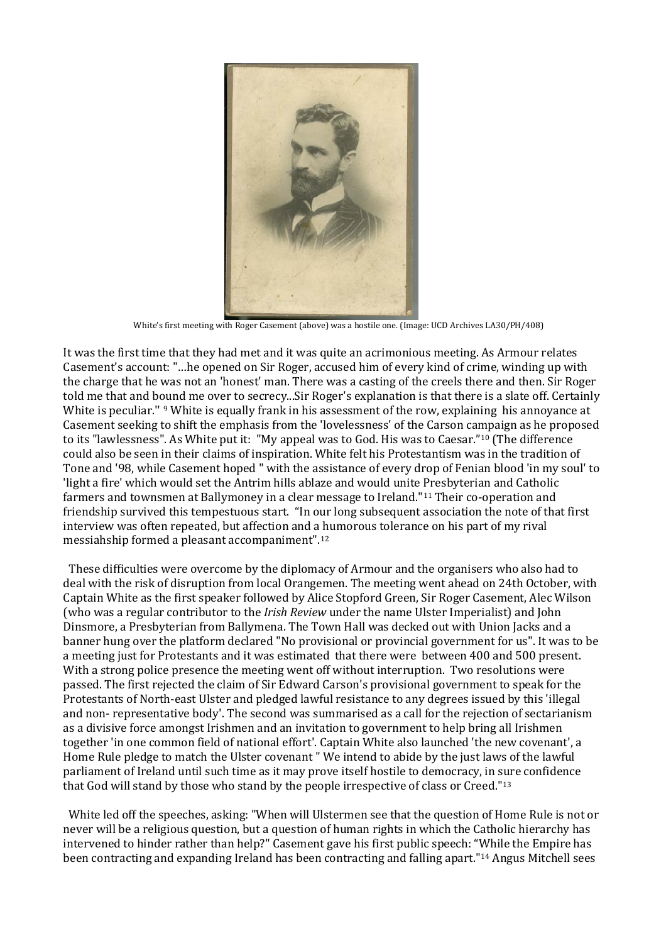

White's first meeting with Roger Casement (above) was a hostile one. (Image: UCD Archives LA30/PH/408)

It was the first time that they had met and it was quite an acrimonious meeting. As Armour relates Casement's account: "…he opened on Sir Roger, accused him of every kind of crime, winding up with the charge that he was not an 'honest' man. There was a casting of the creels there and then. Sir Roger told me that and bound me over to secrecy...Sir Roger's explanation is that there is a slate off. Certainly White is peculiar." <sup>[9](#page-18-8)</sup> White is equally frank in his assessment of the row, explaining his annoyance at Casement seeking to shift the emphasis from the 'lovelessness' of the Carson ca[mp](#page-18-9)aign as he proposed to its "lawlessness". As White put it: "My appeal was to God. His was to Caesar."10 (The difference could also be seen in their claims of inspiration. White felt his Protestantism was in the tradition of Tone and '98, while Casement hoped " with the assistance of every drop of Fenian blood 'in my soul' to 'light a fire' which would set the Antrim hills ablaze and would unite [Pr](#page-18-10)esbyterian and Catholic farmers and townsmen at Ballymoney in a clear message to Ireland."11 Their co-operation and friendship survived this tempestuous start. "In our long subsequent association the note of that first interview was often repeated, but affection and a humorous tolerance on his part of my rival messiahship formed a pleasant accompaniment"[.12](#page-18-11)

 These difficulties were overcome by the diplomacy of Armour and the organisers who also had to deal with the risk of disruption from local Orangemen. The meeting went ahead on 24th October, with Captain White as the first speaker followed by Alice Stopford Green, Sir Roger Casement, Alec Wilson (who was a regular contributor to the *Irish Review* under the name Ulster Imperialist) and John Dinsmore, a Presbyterian from Ballymena. The Town Hall was decked out with Union Jacks and a banner hung over the platform declared "No provisional or provincial government for us". It was to be a meeting just for Protestants and it was estimated that there were between 400 and 500 present. With a strong police presence the meeting went off without interruption. Two resolutions were passed. The first rejected the claim of Sir Edward Carson's provisional government to speak for the Protestants of North-east Ulster and pledged lawful resistance to any degrees issued by this 'illegal and non- representative body'. The second was summarised as a call for the rejection of sectarianism as a divisive force amongst Irishmen and an invitation to government to help bring all Irishmen together 'in one common field of national effort'. Captain White also launched 'the new covenant', a Home Rule pledge to match the Ulster covenant " We intend to abide by the just laws of the lawful parliament of Ireland until such time as it may prove itself hostile to democracy, in sure confidence that God will stand by those who stand by the people irrespective of class or Creed."[13](#page-18-12)

 White led off the speeches, asking: "When will Ulstermen see that the question of Home Rule is not or never will be a religious question, but a question of human rights in which the Catholic hierarchy has intervened to hinder rather than help?" Casement gave his first public speech: "[W](#page-18-13)hile the Empire has been contracting and expanding Ireland has been contracting and falling apart."14 Angus Mitchell sees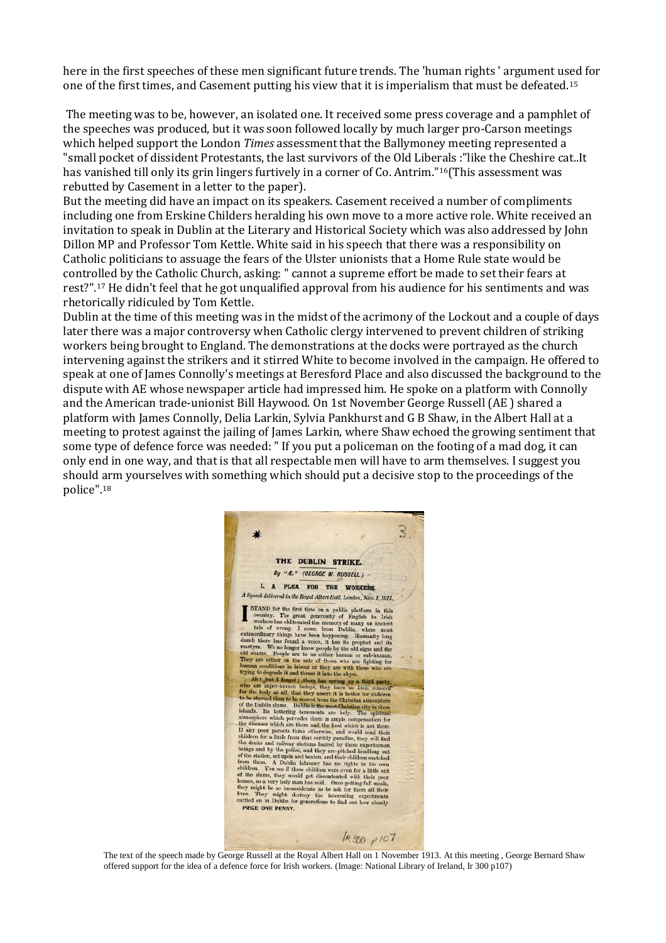here in the first speeches of these men significant future trends. The 'human rights ' argument u[sed](#page-18-14) for one of the first times, and Casement putting his view that it is imperialism that must be defeated.15

The meeting was to be, however, an isolated one. It received some press coverage and a pamphlet of the speeches was produced, but it was soon followed locally by much larger pro-Carson meetings which helped support the London *Times* assessment that the Ballymoney meeting represented a "small pocket of dissident Protestants, the last survivors of the Old Liberals :"like the Cheshire cat..It has vanished till only its grin lingers furtively in a corner of Co. Antrim."[16](#page-18-15) (This assessment was rebutted by Casement in a letter to the paper).

But the meeting did have an impact on its speakers. Casement received a number of compliments including one from Erskine Childers heralding his own move to a more active role. White received an invitation to speak in Dublin at the Literary and Historical Society which was also addressed by John Dillon MP and Professor Tom Kettle. White said in his speech that there was a responsibility on Catholic politicians to assuage the fears of the Ulster unionists that a Home Rule state would be contr[olle](#page-18-16)d by the Catholic Church, asking: " cannot a supreme effort be made to set their fears at rest?". 17 He didn't feel that he got unqualified approval from his audience for his sentiments and was rhetorically ridiculed by Tom Kettle.

Dublin at the time of this meeting was in the midst of the acrimony of the Lockout and a couple of days later there was a major controversy when Catholic clergy intervened to prevent children of striking workers being brought to England. The demonstrations at the docks were portrayed as the church intervening against the strikers and it stirred White to become involved in the campaign. He offered to speak at one of James Connolly's meetings at Beresford Place and also discussed the background to the dispute with AE whose newspaper article had impressed him. He spoke on a platform with Connolly and the American trade-unionist Bill Haywood. On 1st November George Russell (AE ) shared a platform with James Connolly, Delia Larkin, Sylvia Pankhurst and G B Shaw, in the Albert Hall at a meeting to protest against the jailing of James Larkin, where Shaw echoed the growing sentiment that some type of defence force was needed: " If you put a policeman on the footing of a mad dog, it can only end in one way, and that is that all respectable men will have to arm themselves. I suggest you should arm yourselves with something which should put a decisive stop to the proceedings of the police". [18](#page-18-17) 



The text of the speech made by George Russell at the Royal Albert Hall on 1 November 1913. At this meeting , George Bernard Shaw offered support for the idea of a defence force for Irish workers. (Image: National Library of Ireland, Ir 300 p107)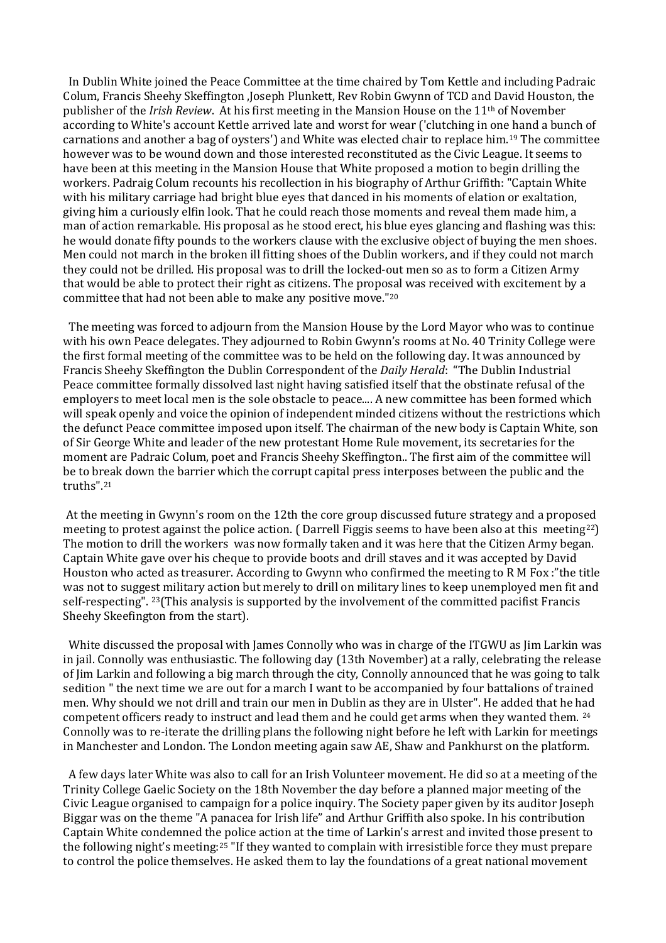In Dublin White joined the Peace Committee at the time chaired by Tom Kettle and including Padraic Colum, Francis Sheehy Skeffington ,Joseph Plunkett, Rev Robin Gwynn of TCD and David Houston, the publisher of the *Irish Review*. At his first meeting in the Mansion House on the 11th of November according to White's account Kettle arrived late and worst for wear ('clutching in on[e h](#page-18-18)and a bunch of carnations and another a bag of oysters') and White was elected chair to replace him.19 The committee however was to be wound down and those interested reconstituted as the Civic League. It seems to have been at this meeting in the Mansion House that White proposed a motion to begin drilling the workers. Padraig Colum recounts his recollection in his biography of Arthur Griffith: "Captain White with his military carriage had bright blue eyes that danced in his moments of elation or exaltation, giving him a curiously elfin look. That he could reach those moments and reveal them made him, a man of action remarkable. His proposal as he stood erect, his blue eyes glancing and flashing was this: he would donate fifty pounds to the workers clause with the exclusive object of buying the men shoes. Men could not march in the broken ill fitting shoes of the Dublin workers, and if they could not march they could not be drilled. His proposal was to drill the locked-out men so as to form a Citizen Army that would be able to protect their right as citizens. The proposal was received with excitement by a committee that had not been able to make any positive move."[20](#page-18-19)

 The meeting was forced to adjourn from the Mansion House by the Lord Mayor who was to continue with his own Peace delegates. They adjourned to Robin Gwynn's rooms at No. 40 Trinity College were the first formal meeting of the committee was to be held on the following day. It was announced by Francis Sheehy Skeffington the Dublin Correspondent of the *Daily Herald*: "The Dublin Industrial Peace committee formally dissolved last night having satisfied itself that the obstinate refusal of the employers to meet local men is the sole obstacle to peace.... A new committee has been formed which will speak openly and voice the opinion of independent minded citizens without the restrictions which the defunct Peace committee imposed upon itself. The chairman of the new body is Captain White, son of Sir George White and leader of the new protestant Home Rule movement, its secretaries for the moment are Padraic Colum, poet and Francis Sheehy Skeffington.. The first aim of the committee will be to break down the barrier which the corrupt capital press interposes between the public and the truths".[21](#page-19-0)

At the meeting in Gwynn's room on the 12th the core group discussed future strategy and a propos[ed](#page-19-1) meeting to protest against the police action. ( Darrell Figgis seems to have been also at this meeting22) The motion to drill the workers was now formally taken and it was here that the Citizen Army began. Captain White gave over his cheque to provide boots and drill staves and it was accepted by David Houston who acted as treasurer. According to Gwynn who confirmed the meeting to R M Fox :"the title was not to suggest military action but merely to drill on military lines to keep unemployed men fit and self-respecting". [23](#page-19-2)(This analysis is supported by the involvement of the committed pacifist Francis Sheehy Skeefington from the start).

 White discussed the proposal with James Connolly who was in charge of the ITGWU as Jim Larkin was in jail. Connolly was enthusiastic. The following day (13th November) at a rally, celebrating the release of Jim Larkin and following a big march through the city, Connolly announced that he was going to talk sedition " the next time we are out for a march I want to be accompanied by four battalions of trained men. Why should we not drill and train our men in Dublin as they are in Ulster". He added that he [had](#page-19-3) competent officers ready to instruct and lead them and he could get arms when they wanted them. <sup>24</sup> Connolly was to re-iterate the drilling plans the following night before he left with Larkin for meetings in Manchester and London. The London meeting again saw AE, Shaw and Pankhurst on the platform.

 A few days later White was also to call for an Irish Volunteer movement. He did so at a meeting of the Trinity College Gaelic Society on the 18th November the day before a planned major meeting of the Civic League organised to campaign for a police inquiry. The Society paper given by its auditor Joseph Biggar was on the theme "A panacea for Irish life" and Arthur Griffith also spoke. In his contribution Captain White condemned the police action at the time of Larkin's arrest and invited those present to the following night's meeting:[25](#page-19-4) "If they wanted to complain with irresistible force they must prepare to control the police themselves. He asked them to lay the foundations of a great national movement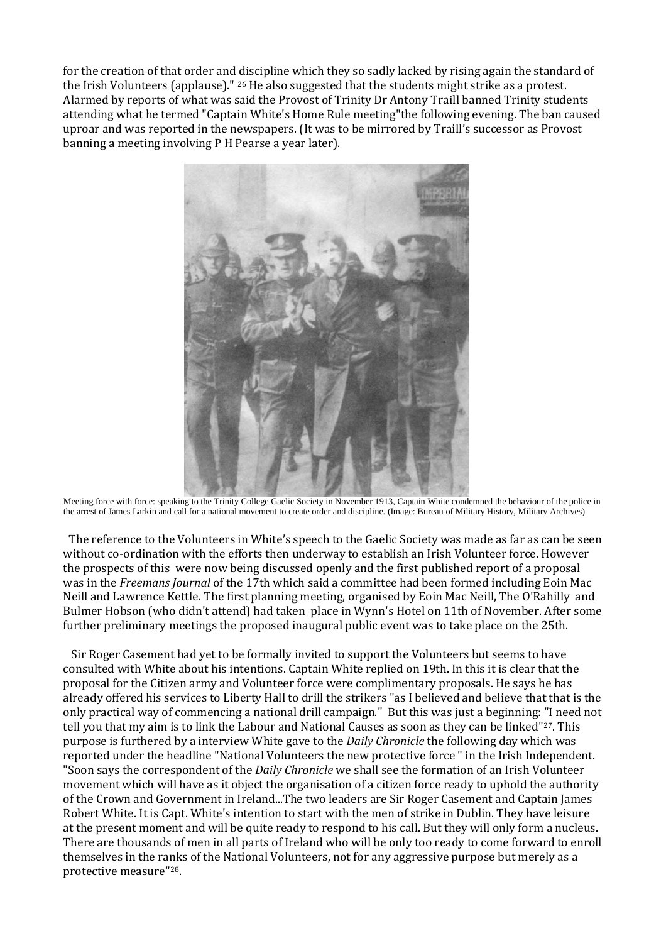for the creation of that order and discipline which they so sadly lacked by rising again the standard of the Irish Volunteers (applause)." [26](#page-19-5) He also suggested that the students might strike as a protest. Alarmed by reports of what was said the Provost of Trinity Dr Antony Traill banned Trinity students attending what he termed "Captain White's Home Rule meeting"the following evening. The ban caused uproar and was reported in the newspapers. (It was to be mirrored by Traill's successor as Provost banning a meeting involving P H Pearse a year later).



Meeting force with force: speaking to the Trinity College Gaelic Society in November 1913, Captain White condemned the behaviour of the police in the arrest of James Larkin and call for a national movement to create order and discipline. (Image: Bureau of Military History, Military Archives)

 The reference to the Volunteers in White's speech to the Gaelic Society was made as far as can be seen without co-ordination with the efforts then underway to establish an Irish Volunteer force. However the prospects of this were now being discussed openly and the first published report of a proposal was in the *Freemans Journal* of the 17th which said a committee had been formed including Eoin Mac Neill and Lawrence Kettle. The first planning meeting, organised by Eoin Mac Neill, The O'Rahilly and Bulmer Hobson (who didn't attend) had taken place in Wynn's Hotel on 11th of November. After some further preliminary meetings the proposed inaugural public event was to take place on the 25th.

 Sir Roger Casement had yet to be formally invited to support the Volunteers but seems to have consulted with White about his intentions. Captain White replied on 19th. In this it is clear that the proposal for the Citizen army and Volunteer force were complimentary proposals. He says he has already offered his services to Liberty Hall to drill the strikers "as I believed and believe that that is the only practical way of commencing a national drill campaign." But this was just a beginning: "I need not tell you that my aim is to link the Labour and National Causes as soon as they can be linked"[27.](#page-19-6) This purpose is furthered by a interview White gave to the *Daily Chronicle* the following day which was reported under the headline "National Volunteers the new protective force " in the Irish Independent. "Soon says the correspondent of the *Daily Chronicle* we shall see the formation of an Irish Volunteer movement which will have as it object the organisation of a citizen force ready to uphold the authority of the Crown and Government in Ireland...The two leaders are Sir Roger Casement and Captain James Robert White. It is Capt. White's intention to start with the men of strike in Dublin. They have leisure at the present moment and will be quite ready to respond to his call. But they will only form a nucleus. There are thousands of men in all parts of Ireland who will be only too ready to come forward to enroll themselves in the ranks of the National Volunteers, not for any aggressive purpose but merely as a protective measure"[28](#page-19-7).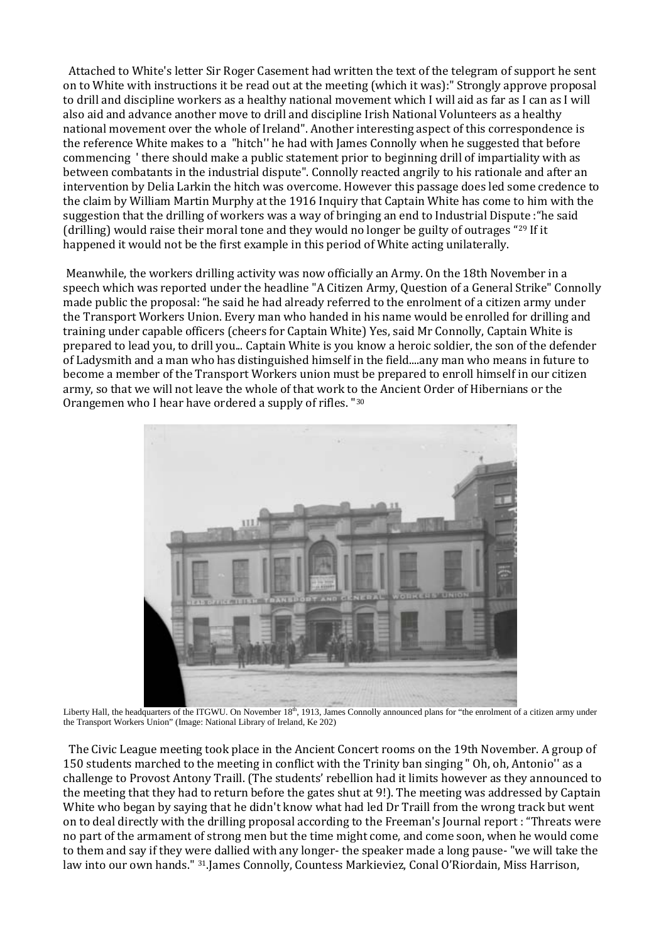Attached to White's letter Sir Roger Casement had written the text of the telegram of support he sent on to White with instructions it be read out at the meeting (which it was):" Strongly approve proposal to drill and discipline workers as a healthy national movement which I will aid as far as I can as I will also aid and advance another move to drill and discipline Irish National Volunteers as a healthy national movement over the whole of Ireland". Another interesting aspect of this correspondence is the reference White makes to a "hitch'' he had with James Connolly when he suggested that before commencing ' there should make a public statement prior to beginning drill of impartiality with as between combatants in the industrial dispute". Connolly reacted angrily to his rationale and after an intervention by Delia Larkin the hitch was overcome. However this passage does led some credence to the claim by William Martin Murphy at the 1916 Inquiry that Captain White has come to him with the suggestion that the drilling of workers was a way of bringing an end to Industrial Dispute :"he said (drilling) would raise their moral tone and they would no longer be guilty of outrages "[29](#page-19-8) If it happened it would not be the first example in this period of White acting unilaterally.

Meanwhile, the workers drilling activity was now officially an Army. On the 18th November in a speech which was reported under the headline "A Citizen Army, Question of a General Strike" Connolly made public the proposal: "he said he had already referred to the enrolment of a citizen army under the Transport Workers Union. Every man who handed in his name would be enrolled for drilling and training under capable officers (cheers for Captain White) Yes, said Mr Connolly, Captain White is prepared to lead you, to drill you... Captain White is you know a heroic soldier, the son of the defender of Ladysmith and a man who has distinguished himself in the field....any man who means in future to become a member of the Transport Workers union must be prepared to enroll himself in our citizen army, so that we will not leave the whole of that work to the Ancient Order of Hibernians or the Orangemen who I hear have ordered a supply of rifles. "[30](#page-19-9)



Liberty Hall, the headquarters of the ITGWU. On November 18<sup>th</sup>, 1913, James Connolly announced plans for "the enrolment of a citizen army under the Transport Workers Union" (Image: National Library of Ireland, Ke 202)

 The Civic League meeting took place in the Ancient Concert rooms on the 19th November. A group of 150 students marched to the meeting in conflict with the Trinity ban singing " Oh, oh, Antonio'' as a challenge to Provost Antony Traill. (The students' rebellion had it limits however as they announced to the meeting that they had to return before the gates shut at 9!). The meeting was addressed by Captain White who began by saying that he didn't know what had led Dr Traill from the wrong track but went on to deal directly with the drilling proposal according to the Freeman's Journal report : "Threats were no part of the armament of strong men but the time might come, and come soon, when he would come to them and say if they were dallied with any longer- the speaker made a long pause- "we will take the law into our own hands." [31.](#page-19-10)James Connolly, Countess Markieviez, Conal O'Riordain, Miss Harrison,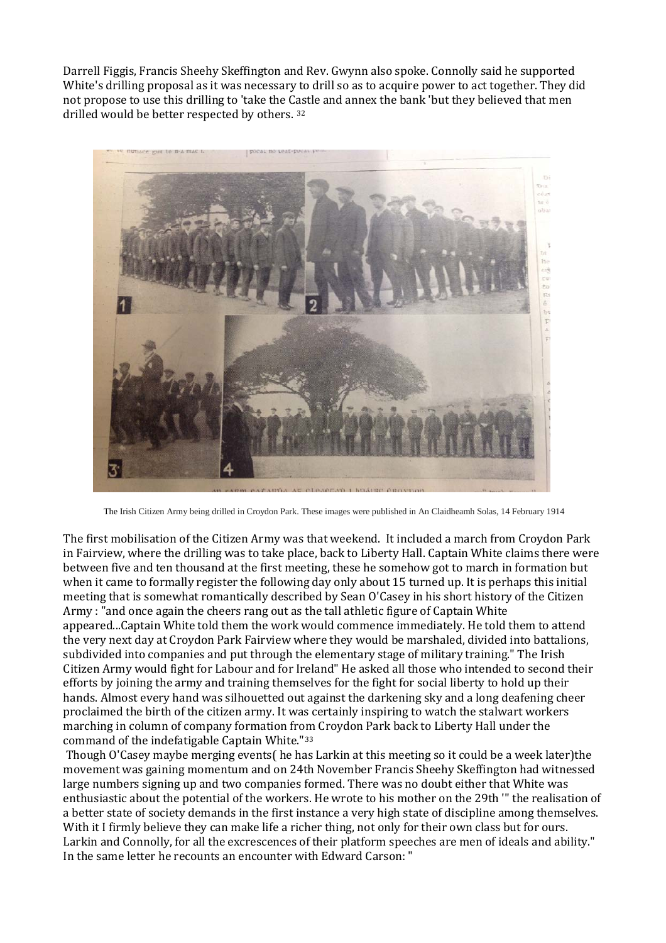Darrell Figgis, Francis Sheehy Skeffington and Rev. Gwynn also spoke. Connolly said he supported White's drilling proposal as it was necessary to drill so as to acquire power to act together. They did not propose to use this drilling to 'take the C[as](#page-19-11)tle and annex the bank 'but they believed that men drilled would be better respected by others. 32



The Irish Citizen Army being drilled in Croydon Park. These images were published in An Claidheamh Solas, 14 February 1914

The first mobilisation of the Citizen Army was that weekend. It included a march from Croydon Park in Fairview, where the drilling was to take place, back to Liberty Hall. Captain White claims there were between five and ten thousand at the first meeting, these he somehow got to march in formation but when it came to formally register the following day only about 15 turned up. It is perhaps this initial meeting that is somewhat romantically described by Sean O'Casey in his short history of the Citizen Army : "and once again the cheers rang out as the tall athletic figure of Captain White appeared...Captain White told them the work would commence immediately. He told them to attend the very next day at Croydon Park Fairview where they would be marshaled, divided into battalions, subdivided into companies and put through the elementary stage of military training." The Irish Citizen Army would fight for Labour and for Ireland" He asked all those who intended to second their efforts by joining the army and training themselves for the fight for social liberty to hold up their hands. Almost every hand was silhouetted out against the darkening sky and a long deafening cheer proclaimed the birth of the citizen army. It was certainly inspiring to watch the stalwart workers marching in column of company formation from Croydon Park back to Liberty Hall under the command of the indefatigable Captain White.["33](#page-19-12)

Though O'Casey maybe merging events( he has Larkin at this meeting so it could be a week later)the movement was gaining momentum and on 24th November Francis Sheehy Skeffington had witnessed large numbers signing up and two companies formed. There was no doubt either that White was enthusiastic about the potential of the workers. He wrote to his mother on the 29th '" the realisation of a better state of society demands in the first instance a very high state of discipline among themselves. With it I firmly believe they can make life a richer thing, not only for their own class but for ours. Larkin and Connolly, for all the excrescences of their platform speeches are men of ideals and ability." In the same letter he recounts an encounter with Edward Carson: "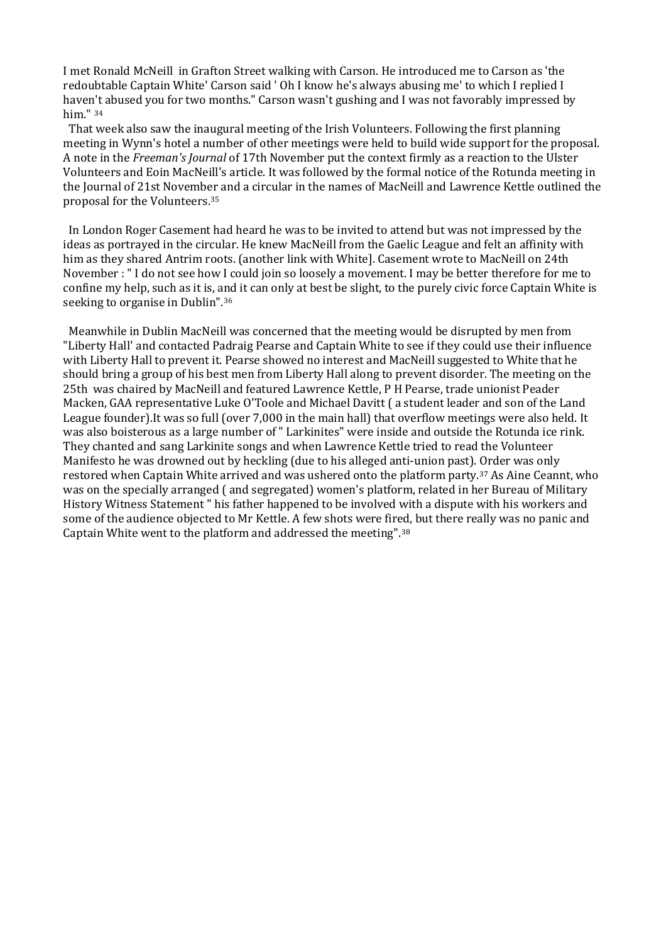I met Ronald McNeill in Grafton Street walking with Carson. He introduced me to Carson as 'the redoubtable Captain White' Carson said ' Oh I know he's always abusing me' to which I replied I haven't abused you for two months." Carson wasn't gushing and I was not favorably impressed by him." [34](#page-19-13)

 That week also saw the inaugural meeting of the Irish Volunteers. Following the first planning meeting in Wynn's hotel a number of other meetings were held to build wide support for the proposal. A note in the *Freeman's Journal* of 17th November put the context firmly as a reaction to the Ulster Volunteers and Eoin MacNeill's article. It was followed by the formal notice of the Rotunda meeting in the Journal of 21st November and a circular in the names of MacNeill and Lawrence Kettle outlined the proposal for the Volunteers.[35](#page-19-14)

 In London Roger Casement had heard he was to be invited to attend but was not impressed by the ideas as portrayed in the circular. He knew MacNeill from the Gaelic League and felt an affinity with him as they shared Antrim roots. (another link with White]. Casement wrote to MacNeill on 24th November : " I do not see how I could join so loosely a movement. I may be better therefore for me to confine my help, such as it is, and it can only at best be slight, to the purely civic force Captain White is seeking to organise in Dublin".[36](#page-19-15)

 Meanwhile in Dublin MacNeill was concerned that the meeting would be disrupted by men from "Liberty Hall' and contacted Padraig Pearse and Captain White to see if they could use their influence with Liberty Hall to prevent it. Pearse showed no interest and MacNeill suggested to White that he should bring a group of his best men from Liberty Hall along to prevent disorder. The meeting on the 25th was chaired by MacNeill and featured Lawrence Kettle, P H Pearse, trade unionist Peader Macken, GAA representative Luke O'Toole and Michael Davitt ( a student leader and son of the Land League founder).It was so full (over 7,000 in the main hall) that overflow meetings were also held. It was also boisterous as a large number of " Larkinites" were inside and outside the Rotunda ice rink. They chanted and sang Larkinite songs and when Lawrence Kettle tried to read the Volunteer Manifesto he was drowned out by heckling (due to his alleged anti-union past). Order was only restored when Captain White arrived and was ushered onto the platform party.[37](#page-19-16) As Aine Ceannt, who was on the specially arranged ( and segregated) women's platform, related in her Bureau of Military History Witness Statement " his father happened to be involved with a dispute with his workers and some of the audience objected to Mr Kettle. A few shots were fired, but there really was no panic and Captain White went to the platform and addressed the meeting".[38](#page-19-17)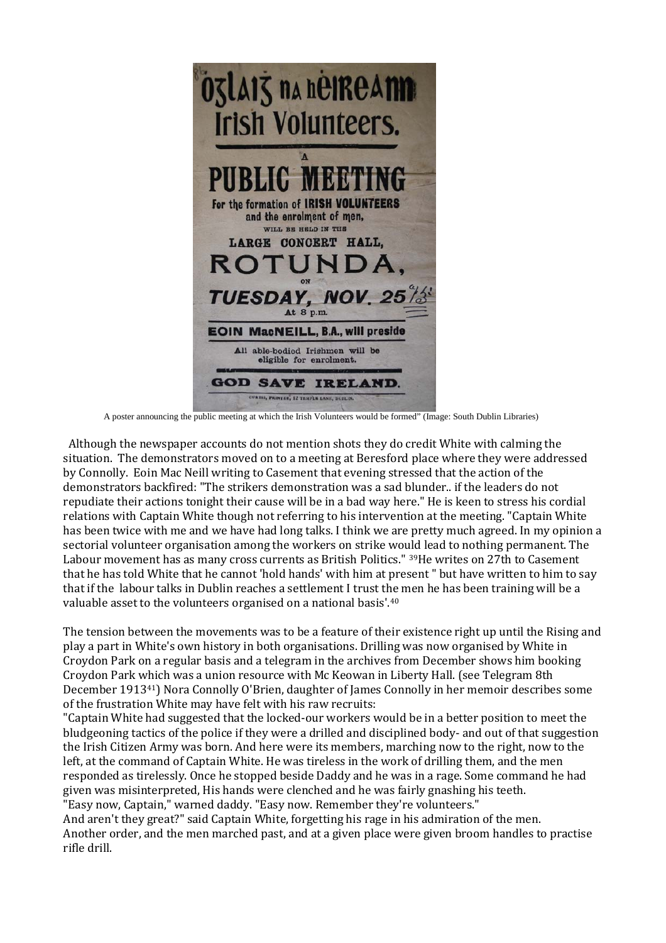

A poster announcing the public meeting at which the Irish Volunteers would be formed" (Image: South Dublin Libraries)

 Although the newspaper accounts do not mention shots they do credit White with calming the situation. The demonstrators moved on to a meeting at Beresford place where they were addressed by Connolly. Eoin Mac Neill writing to Casement that evening stressed that the action of the demonstrators backfired: "The strikers demonstration was a sad blunder.. if the leaders do not repudiate their actions tonight their cause will be in a bad way here." He is keen to stress his cordial relations with Captain White though not referring to his intervention at the meeting. "Captain White has been twice with me and we have had long talks. I think we are pretty much agreed. In my opinion a sectorial volunteer organisation among the workers on strike would lead to nothing permanent. The Labour movement has as many cross currents as British Politics." [39](#page-19-18)He writes on 27th to Casement that he has told White that he cannot 'hold hands' with him at present " but have written to him to say that if the labour talks in Dublin reaches a settlement I trust the men he has been training will be a valuable asset to the volunteers organised on a national basis'.[40](#page-19-19)

The tension between the movements was to be a feature of their existence right up until the Rising and play a part in White's own history in both organisations. Drilling was now organised by White in Croydon Park on a regular basis and a telegram in the archives from December shows him booking Croydon Park [whi](#page-19-20)ch was a union resource with Mc Keowan in Liberty Hall. (see Telegram 8th December 191341 ) Nora Connolly O'Brien, daughter of James Connolly in her memoir describes some of the frustration White may have felt with his raw recruits:

"Captain White had suggested that the locked-our workers would be in a better position to meet the bludgeoning tactics of the police if they were a drilled and disciplined body- and out of that suggestion the Irish Citizen Army was born. And here were its members, marching now to the right, now to the left, at the command of Captain White. He was tireless in the work of drilling them, and the men responded as tirelessly. Once he stopped beside Daddy and he was in a rage. Some command he had given was misinterpreted, His hands were clenched and he was fairly gnashing his teeth. "Easy now, Captain," warned daddy. "Easy now. Remember they're volunteers."

And aren't they great?" said Captain White, forgetting his rage in his admiration of the men. Another order, and the men marched past, and at a given place were given broom handles to practise rifle drill.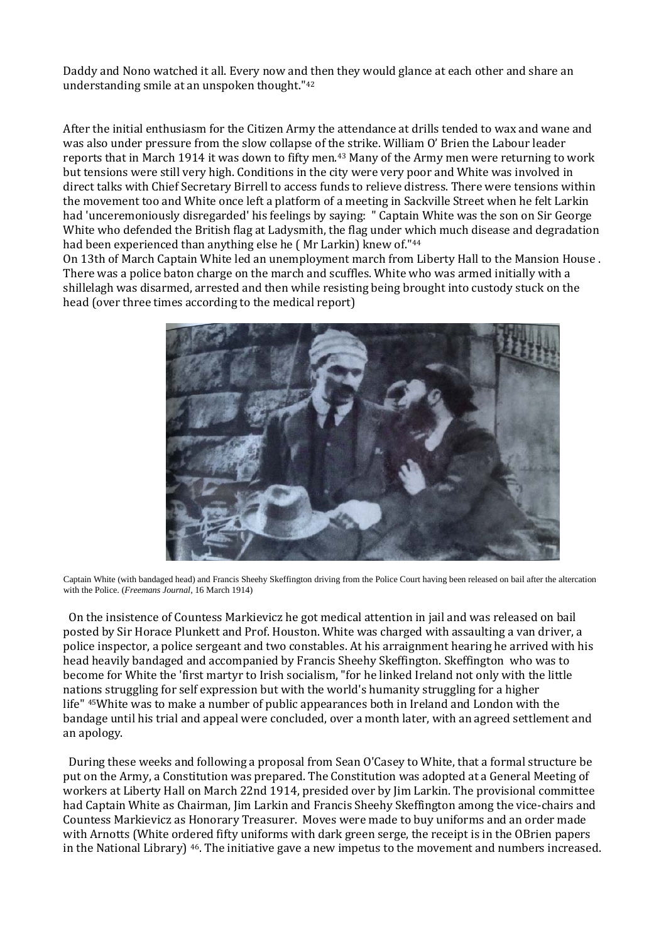Daddy and Nono watched it all. Every now and then they would glance at each other and share an understanding smile at an unspoken thought."[42](#page-19-21)

After the initial enthusiasm for the Citizen Army the attendance at drills tended to wax and wane and was also under pressure from the slow collapse of t[he](#page-19-22) strike. William O' Brien the Labour leader reports that in March 1914 it was down to fifty men.43 Many of the Army men were returning to work but tensions were still very high. Conditions in the city were very poor and White was involved in direct talks with Chief Secretary Birrell to access funds to relieve distress. There were tensions within the movement too and White once left a platform of a meeting in Sackville Street when he felt Larkin had 'unceremoniously disregarded' his feelings by saying: " Captain White was the son on Sir George White who defended the British flag at Ladysmith, the flag under which much disease and degradation had been experienced than anything else he ( Mr Larkin) knew of."[44](#page-19-23)

On 13th of March Captain White led an unemployment march from Liberty Hall to the Mansion House . There was a police baton charge on the march and scuffles. White who was armed initially with a shillelagh was disarmed, arrested and then while resisting being brought into custody stuck on the head (over three times according to the medical report)



Captain White (with bandaged head) and Francis Sheehy Skeffington driving from the Police Court having been released on bail after the altercation with the Police. (*Freemans Journal*, 16 March 1914)

 On the insistence of Countess Markievicz he got medical attention in jail and was released on bail posted by Sir Horace Plunkett and Prof. Houston. White was charged with assaulting a van driver, a police inspector, a police sergeant and two constables. At his arraignment hearing he arrived with his head heavily bandaged and accompanied by Francis Sheehy Skeffington. Skeffington who was to become for White the 'first martyr to Irish socialism, "for he linked Ireland not only with the little nations struggling for self expression but with the world's humanity struggling for a higher life" [45](#page-19-24)White was to make a number of public appearances both in Ireland and London with the bandage until his trial and appeal were concluded, over a month later, with an agreed settlement and an apology.

 During these weeks and following a proposal from Sean O'Casey to White, that a formal structure be put on the Army, a Constitution was prepared. The Constitution was adopted at a General Meeting of workers at Liberty Hall on March 22nd 1914, presided over by Jim Larkin. The provisional committee had Captain White as Chairman, Jim Larkin and Francis Sheehy Skeffington among the vice-chairs and Countess Markievicz as Honorary Treasurer. Moves were made to buy uniforms and an order made with Arnotts (White ordered fifty uniforms with dark green serge, the receipt is in the OBrien papers in the National Library) [46](#page-19-25). The initiative gave a new impetus to the movement and numbers increased.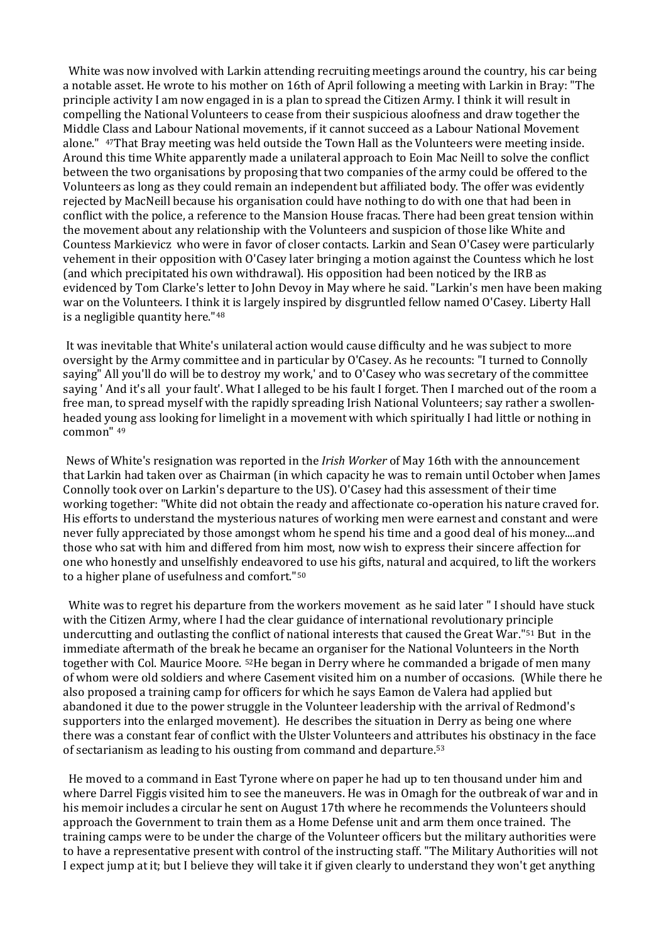White was now involved with Larkin attending recruiting meetings around the country, his car being a notable asset. He wrote to his mother on 16th of April following a meeting with Larkin in Bray: "The principle activity I am now engaged in is a plan to spread the Citizen Army. I think it will result in compelling the National Volunteers to cease from their suspicious aloofness and draw together the Middle Class and Labour National movements, if it cannot succeed as a Labour National Movement alone." [47](#page-19-26)That Bray meeting was held outside the Town Hall as the Volunteers were meeting inside. Around this time White apparently made a unilateral approach to Eoin Mac Neill to solve the conflict between the two organisations by proposing that two companies of the army could be offered to the Volunteers as long as they could remain an independent but affiliated body. The offer was evidently rejected by MacNeill because his organisation could have nothing to do with one that had been in conflict with the police, a reference to the Mansion House fracas. There had been great tension within the movement about any relationship with the Volunteers and suspicion of those like White and Countess Markievicz who were in favor of closer contacts. Larkin and Sean O'Casey were particularly vehement in their opposition with O'Casey later bringing a motion against the Countess which he lost (and which precipitated his own withdrawal). His opposition had been noticed by the IRB as evidenced by Tom Clarke's letter to John Devoy in May where he said. "Larkin's men have been making war on the Volunteers. I think it is largely inspired by disgruntled fellow named O'Casey. Liberty Hall is a negligible quantity here."[48](#page-19-27)

It was inevitable that White's unilateral action would cause difficulty and he was subject to more oversight by the Army committee and in particular by O'Casey. As he recounts: "I turned to Connolly saying" All you'll do will be to destroy my work,' and to O'Casey who was secretary of the committee saying ' And it's all your fault'. What I alleged to be his fault I forget. Then I marched out of the room a free man, to spread myself with the rapidly spreading Irish National Volunteers; say rather a swollenheaded yo[un](#page-19-28)g ass looking for limelight in a movement with which spiritually I had little or nothing in common" 49

News of White's resignation was reported in the *Irish Worker* of May 16th with the announcement that Larkin had taken over as Chairman (in which capacity he was to remain until October when James Connolly took over on Larkin's departure to the US). O'Casey had this assessment of their time working together: "White did not obtain the ready and affectionate co-operation his nature craved for. His efforts to understand the mysterious natures of working men were earnest and constant and were never fully appreciated by those amongst whom he spend his time and a good deal of his money....and those who sat with him and differed from him most, now wish to express their sincere affection for one who honestly and unselfishly endeavored to use his gifts, natural and acquired, to lift the workers to a higher plane of usefulness and comfort."[50](#page-19-29)

White was to regret his departure from the workers movement as he said later " I should have stuck with the Citizen Army, where I had the clear guidance of international revolutionary principle undercutting and outlasting the conflict of national interests that caused the Great War."[51](#page-19-30) But in the immediate aftermath of the break he became an organiser for the National Volunteers in the North together with Col. Maurice Moore. [52H](#page-19-31)e began in Derry where he commanded a brigade of men many of whom were old soldiers and where Casement visited him on a number of occasions. (While there he also proposed a training camp for officers for which he says Eamon de Valera had applied but abandoned it due to the power struggle in the Volunteer leadership with the arrival of Redmond's supporters into the enlarged movement). He describes the situation in Derry as being one where there was a constant fear of conflict with the Ulster Volunteers and attr[ib](#page-19-32)utes his obstinacy in the face of sectarianism as leading to his ousting from command and departure.53

 He moved to a command in East Tyrone where on paper he had up to ten thousand under him and where Darrel Figgis visited him to see the maneuvers. He was in Omagh for the outbreak of war and in his memoir includes a circular he sent on August 17th where he recommends the Volunteers should approach the Government to train them as a Home Defense unit and arm them once trained. The training camps were to be under the charge of the Volunteer officers but the military authorities were to have a representative present with control of the instructing staff. "The Military Authorities will not I expect jump at it; but I believe they will take it if given clearly to understand they won't get anything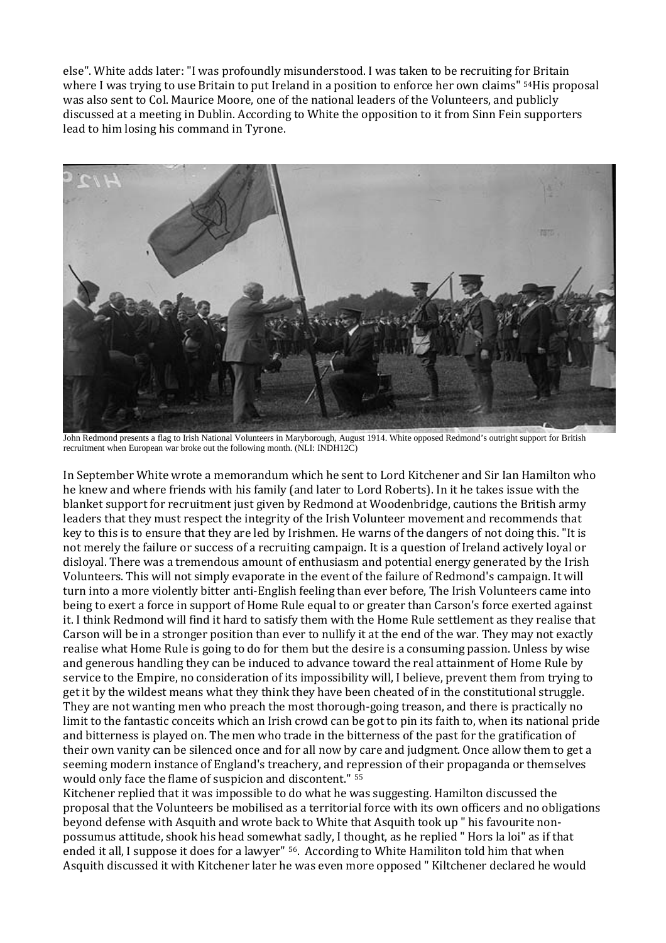else". White adds later: "I was profoundly misunderstood. I was taken to be recruiting for Britain where I was trying to use Britain to put Ireland in a position to enforce her own claims" [54H](#page-19-33)is proposal was also sent to Col. Maurice Moore, one of the national leaders of the Volunteers, and publicly discussed at a meeting in Dublin. According to White the opposition to it from Sinn Fein supporters lead to him losing his command in Tyrone.



John Redmond presents a flag to Irish National Volunteers in Maryborough, August 1914. White opposed Redmond's outright support for British recruitment when European war broke out the following month. (NLI: INDH12C)

In September White wrote a memorandum which he sent to Lord Kitchener and Sir Ian Hamilton who he knew and where friends with his family (and later to Lord Roberts). In it he takes issue with the blanket support for recruitment just given by Redmond at Woodenbridge, cautions the British army leaders that they must respect the integrity of the Irish Volunteer movement and recommends that key to this is to ensure that they are led by Irishmen. He warns of the dangers of not doing this. "It is not merely the failure or success of a recruiting campaign. It is a question of Ireland actively loyal or disloyal. There was a tremendous amount of enthusiasm and potential energy generated by the Irish Volunteers. This will not simply evaporate in the event of the failure of Redmond's campaign. It will turn into a more violently bitter anti-English feeling than ever before, The Irish Volunteers came into being to exert a force in support of Home Rule equal to or greater than Carson's force exerted against it. I think Redmond will find it hard to satisfy them with the Home Rule settlement as they realise that Carson will be in a stronger position than ever to nullify it at the end of the war. They may not exactly realise what Home Rule is going to do for them but the desire is a consuming passion. Unless by wise and generous handling they can be induced to advance toward the real attainment of Home Rule by service to the Empire, no consideration of its impossibility will, I believe, prevent them from trying to get it by the wildest means what they think they have been cheated of in the constitutional struggle. They are not wanting men who preach the most thorough-going treason, and there is practically no limit to the fantastic conceits which an Irish crowd can be got to pin its faith to, when its national pride and bitterness is played on. The men who trade in the bitterness of the past for the gratification of their own vanity can be silenced once and for all now by care and judgment. Once allow them to get a seeming modern instance of England's treachery, and r[ep](#page-19-34)ression of their propaganda or themselves would only face the flame of suspicion and discontent." 55

Kitchener replied that it was impossible to do what he was suggesting. Hamilton discussed the proposal that the Volunteers be mobilised as a territorial force with its own officers and no obligations beyond defense with Asquith and wrote back to White that Asquith took up " his favourite nonpossumus attitude, shook his head somewhat sadly, I thought, as he replied " Hors la loi" as if that ended it all, I suppose it does for a lawyer" [56.](#page-19-35) According to White Hamiliton told him that when Asquith discussed it with Kitchener later he was even more opposed " Kiltchener declared he would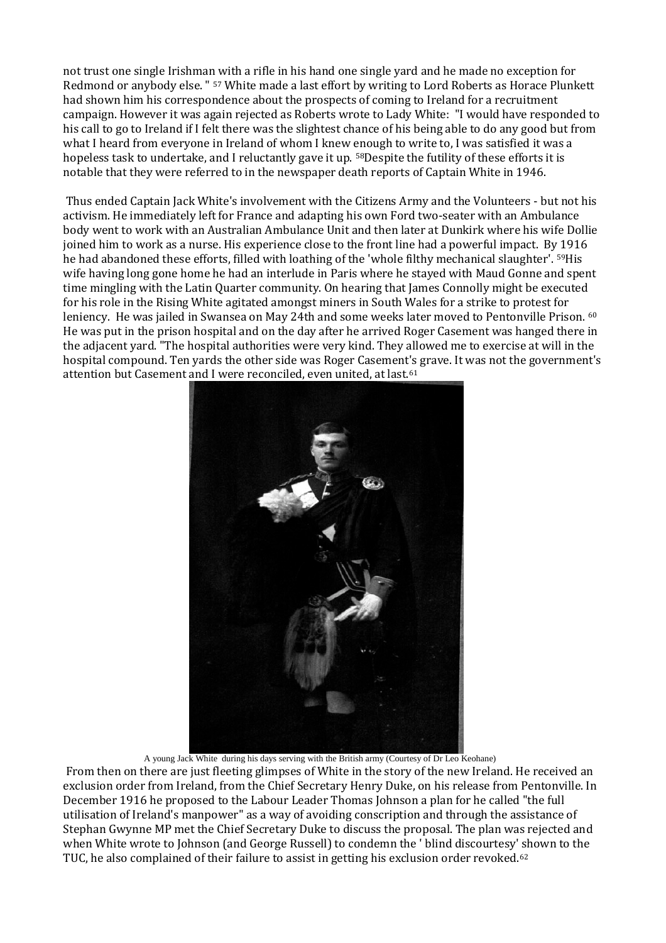not trust one single Irishman with a rifle in his hand one single yard and he made no exception for Redmond or anybody else. " [57](#page-19-36) White made a last effort by writing to Lord Roberts as Horace Plunkett had shown him his correspondence about the prospects of coming to Ireland for a recruitment campaign. However it was again rejected as Roberts wrote to Lady White: "I would have responded to his call to go to Ireland if I felt there was the slightest chance of his being able to do any good but from what I heard from everyone in Ireland of whom I knew enough to write to, I was satisfied it was a hopeless task to undertake, and I reluctantly gave it up. [58D](#page-19-37)espite the futility of these efforts it is notable that they were referred to in the newspaper death reports of Captain White in 1946.

Thus ended Captain Jack White's involvement with the Citizens Army and the Volunteers - but not his activism. He immediately left for France and adapting his own Ford two-seater with an Ambulance body went to work with an Australian Ambulance Unit and then later at Dunkirk where his wife Dollie joined him to work as a nurse. His experience close to the front line had a powerful impact. By 1916 he had abandoned these efforts, filled with loathing of the 'whole filthy mechanical slaughter'. [59](#page-19-38)His wife having long gone home he had an interlude in Paris where he stayed with Maud Gonne and spent time mingling with the Latin Quarter community. On hearing that James Connolly might be executed for his role in the Rising White agitated amongst miners in South Wales for a strike to protest for leniency. He was jailed in Swansea on May 24th and some weeks later moved to Pentonville Prison. <sup>[60](#page-19-39)</sup> He was put in the prison hospital and on the day after he arrived Roger Casement was hanged there in the adjacent yard. "The hospital authorities were very kind. They allowed me to exercise at will in the hospital compound. Ten yards the other side was Roger Casement['s](#page-19-40) grave. It was not the government's attention but Casement and I were reconciled, even united, at last.61



A young Jack White during his days serving with the British army (Courtesy of Dr Leo Keohane)

From then on there are just fleeting glimpses of White in the story of the new Ireland. He received an exclusion order from Ireland, from the Chief Secretary Henry Duke, on his release from Pentonville. In December 1916 he proposed to the Labour Leader Thomas Johnson a plan for he called "the full utilisation of Ireland's manpower" as a way of avoiding conscription and through the assistance of Stephan Gwynne MP met the Chief Secretary Duke to discuss the proposal. The plan was rejected and when White wrote to Johnson (and George Russell) to condemn the ' blind discourtesy' [sh](#page-19-41)own to the TUC, he also complained of their failure to assist in getting his exclusion order revoked.<sup>62</sup>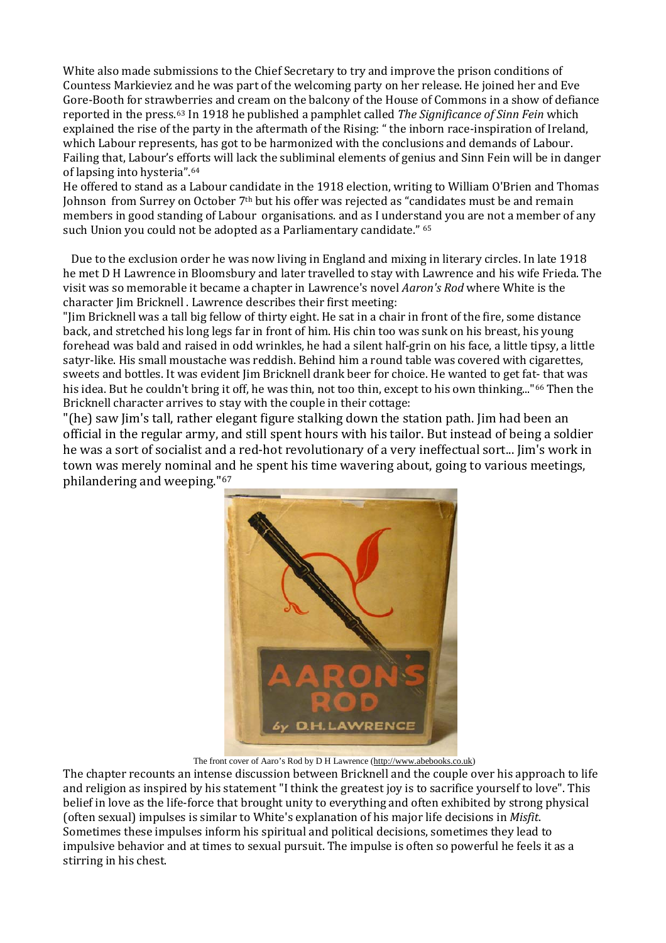White also made submissions to the Chief Secretary to try and improve the prison conditions of Countess Markieviez and he was part of the welcoming party on her release. He joined her and Eve Gore-Booth for strawberries and cream on the balcony of the House of Commons in a show of defiance reported in the press.[63](#page-19-42) In 1918 he published a pamphlet called *The Significance of Sinn Fein* which explained the rise of the party in the aftermath of the Rising: " the inborn race-inspiration of Ireland, which Labour represents, has got to be harmonized with the conclusions and demands of Labour. Failing that, Labour's eff[or](#page-19-43)ts will lack the subliminal elements of genius and Sinn Fein will be in danger of lapsing into hysteria".64

He offered to stand as a Labour candidate in the 1918 election, writing to William O'Brien and Thomas Johnson from Surrey on October 7<sup>th</sup> but his offer was rejected as "candidates must be and remain members in good standing of Labour organisations. and as I understand you are not a member of any such Union you could not be adopted as a Parliamentary candidate." [65](#page-19-44)

 Due to the exclusion order he was now living in England and mixing in literary circles. In late 1918 he met D H Lawrence in Bloomsbury and later travelled to stay with Lawrence and his wife Frieda. The visit was so memorable it became a chapter in Lawrence's novel *Aaron's Rod* where White is the character Jim Bricknell . Lawrence describes their first meeting:

"Jim Bricknell was a tall big fellow of thirty eight. He sat in a chair in front of the fire, some distance back, and stretched his long legs far in front of him. His chin too was sunk on his breast, his young forehead was bald and raised in odd wrinkles, he had a silent half-grin on his face, a little tipsy, a little satyr-like. His small moustache was reddish. Behind him a round table was covered with cigarettes, sweets and bottles. It was evident Jim Bricknell drank beer for choice. He wanted to get fat- that was his idea. But he couldn't bring it off, he was thin, not too thin, except to his own thinking...["66](#page-19-45) Then the Bricknell character arrives to stay with the couple in their cottage:

"(he) saw Jim's tall, rather elegant figure stalking down the station path. Jim had been an official in the regular army, and still spent hours with his tailor. But instead of being a soldier he was a sort of socialist and a red-hot revolutionary of a very ineffectual sort... Jim's work in town was merely nominal a[nd](#page-19-46) he spent his time wavering about, going to various meetings, philandering and weeping." 67



The front cover of Aaro's Rod by D H Lawrence [\(http://www.abebooks.co.uk\)](http://www.abebooks.co.uk/)

The chapter recounts an intense discussion between Bricknell and the couple over his approach to life and religion as inspired by his statement "I think the greatest joy is to sacrifice yourself to love". This belief in love as the life-force that brought unity to everything and often exhibited by strong physical (often sexual) impulses is similar to White's explanation of his major life decisions in *Misfit*. Sometimes these impulses inform his spiritual and political decisions, sometimes they lead to impulsive behavior and at times to sexual pursuit. The impulse is often so powerful he feels it as a stirring in his chest.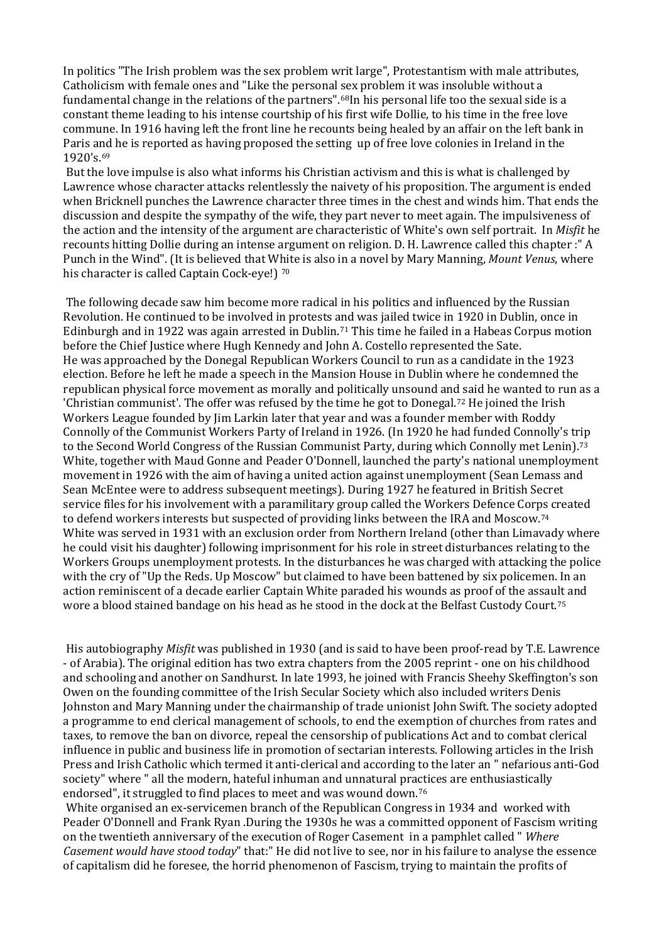In politics "The Irish problem was the sex problem writ large", Protestantism with male attributes, Catholicism with female ones and "Like the personal sex problem it was insoluble without a fundamental change in the relations of the partners".[68](#page-19-47)In his personal life too the sexual side is a constant theme leading to his intense courtship of his first wife Dollie, to his time in the free love commune. In 1916 having left the front line he recounts being healed by an affair on the left bank in Paris a[nd](#page-20-0) he is reported as having proposed the setting up of free love colonies in Ireland in the 1920's.69

But the love impulse is also what informs his Christian activism and this is what is challenged by Lawrence whose character attacks relentlessly the naivety of his proposition. The argument is ended when Bricknell punches the Lawrence character three times in the chest and winds him. That ends the discussion and despite the sympathy of the wife, they part never to meet again. The impulsiveness of the action and the intensity of the argument are characteristic of White's own self portrait. In *Misfit* he recounts hitting Dollie during an intense argument on religion. D. H. Lawrence called this chapter :" A Punch in the Wind". (It is believed that W[hi](#page-20-1)te is also in a novel by Mary Manning, *Mount Venus*, where his character is called Captain Cock-eye!) 70

The following decade saw him become more radical in his politics and influenced by the Russian Revolution. He continued to be involved in protests and was jailed twice in 1920 in Dublin, once in Edinburgh and in 1922 was again arrested in Dublin.[71](#page-20-2) This time he failed in a Habeas Corpus motion He was approached by the Donegal Republican Workers Council to run as a candidate in the 1923 election. Before he left he made a speech in the Mansion House in Dublin where he condemned the republican physical force movement as morally and politically unsound an[d s](#page-20-3)aid he wanted to run as a 'Christian communist'. The offer was refused by the time he got to Donegal. <sup>72</sup> He joined the Irish before the Chief Justice where Hugh Kennedy and John A. Costello represented the Sate. Workers League founded by Jim Larkin later that year and was a founder member with Roddy Connolly of the Communist Workers Party of Ireland in 1926. (In 1920 he had funded Connolly's t[rip](#page-20-4) to the Second World Congress of the Russian Communist Party, during which Connolly met Lenin).<sup>73</sup> White, together with Maud Gonne and Peader O'Donnell, launched the party's national unemployment movement in 1926 with the aim of having a united action against unemployment (Sean Lemass and Sean McEntee were to address subsequent meetings). During 1927 he featured in British Secret service files for his involvement with a paramilitary group called the Workers Defence Corps created to defend workers interests but suspected of providing links between the IRA and Moscow.[74](#page-20-5) White was served in 1931 with an exclusion order from Northern Ireland (other than Limavady where he could visit his daughter) following imprisonment for his role in street disturbances relating to the Workers Groups unemployment protests. In the disturbances he was charged with attacking the police with the cry of "Up the Reds. Up Moscow" but claimed to have been battened by six policemen. In an action reminiscent of a decade earlier Captain White paraded his wounds as proof of the assault and wore a blood stained bandage on his head as he stood in the dock at the Belfast Custody Court.[75](#page-20-6)

His autobiography *Misfit* was published in 1930 (and is said to have been proof-read by T.E. Lawrence - of Arabia). The original edition has two extra chapters from the 2005 reprint - one on his childhood and schooling and another on Sandhurst. In late 1993, he joined with Francis Sheehy Skeffington's son Owen on the founding committee of the Irish Secular Society which also included writers Denis Johnston and Mary Manning under the chairmanship of trade unionist John Swift. The society adopted a programme to end clerical management of schools, to end the exemption of churches from rates and taxes, to remove the ban on divorce, repeal the censorship of publications Act and to combat clerical influence in public and business life in promotion of sectarian interests. Following articles in the Irish Press and Irish Catholic which termed it anti-clerical and according to the later an " nefarious anti-God society" where " all the modern, hateful inhuman and unnatural practices are enthusiastically endorsed", it struggled to find places to meet and was wound down.[76](#page-20-7)

White organised an ex-servicemen branch of the Republican Congress in 1934 and worked with Peader O'Donnell and Frank Ryan .During the 1930s he was a committed opponent of Fascism writing on the twentieth anniversary of the execution of Roger Casement in a pamphlet called " *Where Casement would have stood today*" that:" He did not live to see, nor in his failure to analyse the essence of capitalism did he foresee, the horrid phenomenon of Fascism, trying to maintain the profits of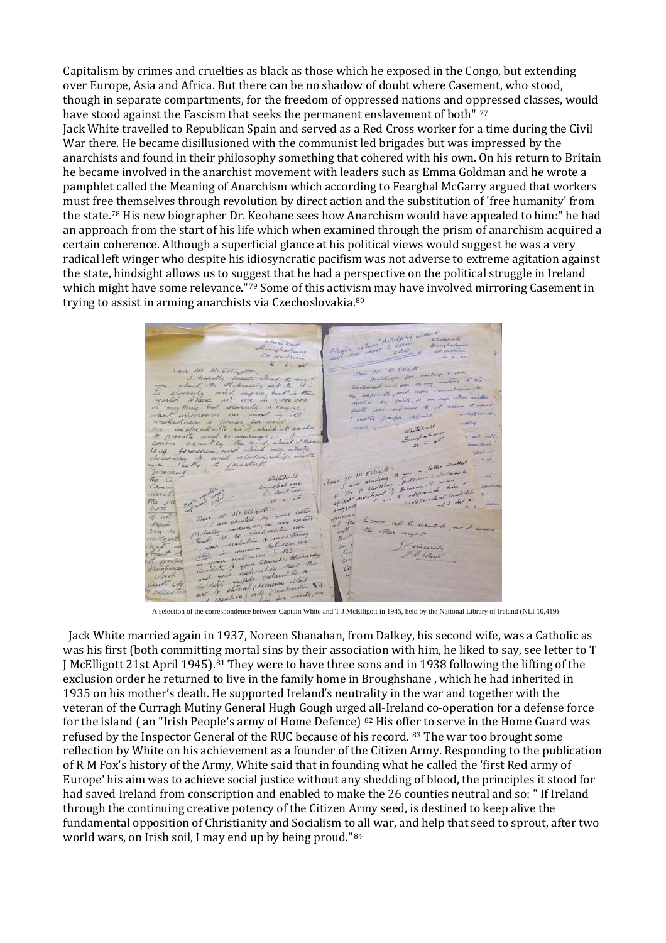Capitalism by crimes and cruelties as black as those which he exposed in the Congo, but extending over Europe, Asia and Africa. But there can be no shadow of doubt where Casement, who stood, though in separate compartments, for the freedom of oppressed nations and oppressed classes, would have stood against the Fascism that seeks the permanent enslavement of both" [77](#page-20-8)

Jack White travelled to Republican Spain and served as a Red Cross worker for a time during the Civil War there. He became disillusioned with the communist led brigades but was impressed by the anarchists and found in their philosophy something that cohered with his own. On his return to Britain he became involved in the anarchist movement with leaders such as Emma Goldman and he wrote a pamphlet called the Meaning of Anarchism which according to Fearghal McGarry argued that workers must fre[e th](#page-20-9)emselves through revolution by direct action and the substitution of 'free humanity' from the state.78 His new biographer Dr. Keohane sees how Anarchism would have appealed to him:" he had an approach from the start of his life which when examined through the prism of anarchism acquired a certain coherence. Although a superficial glance at his political views would suggest he was a very radical left winger who despite his idiosyncratic pacifism was not adverse to extreme agitation against the state, hindsight allows us to suggest that he had a perspective on the political struggle in Ireland which might have some relevance."[79](#page-20-10) Some of this activ[ism](#page-20-11) may have involved mirroring Casement in trying to assist in arming anarchists via Czechoslovakia.80

 $\frac{1}{6}$ in month " Earth 14 miles 3945200 atchall which  $\mathcal{L}$  $z<sub>0</sub>$ aut  $28$  $1.1\sqrt{2}$ rata excited in my up to as ud the. There right  $\mathcal{A}$ Evins  $\lambda$ of behale other realisation  $\mathcal{A}$ mala  $d_{\alpha}$  $461$ A selection of the correspondence between Captain White and T J McElligott in 1945, held by the National Library of Ireland (NLI 10,419)  $\widetilde{\mathcal{K}}$ 

 Jack White married again in 1937, Noreen Shanahan, from Dalkey, his second wife, was a Catholic as was his first (both committing mortal sins by their association with him, he liked to say, see letter to T J McElligott 21st April 1945).[81](#page-20-12) They were to have three sons and in 1938 following the lifting of the exclusion order he returned to live in the family home in Broughshane , which he had inherited in 1935 on his mother's death. He supported Ireland's neutrality in the war and together with the veteran of the Curragh Mutiny General Hugh Gough urged all-Ireland co-operation for a defense force for the island ( an "Irish People's army of Home Defence) [82](#page-20-13) His offer to serve in the Home Guard was refused by the Inspector General of the RUC because of his record. [83](#page-20-14) The war too brought some reflection by White on his achievement as a founder of the Citizen Army. Responding to the publication of R M Fox's history of the Army, White said that in founding what he called the 'first Red army of Europe' his aim was to achieve social justice without any shedding of blood, the principles it stood for had saved Ireland from conscription and enabled to make the 26 counties neutral and so: " If Ireland through the continuing creative potency of the Citizen Army seed, is destined to keep alive the fundamental opposition of Christianity and Socialism to all war, and help that seed to sprout, after two world wars, on Irish soil, I may end up by being proud."[84](#page-20-15)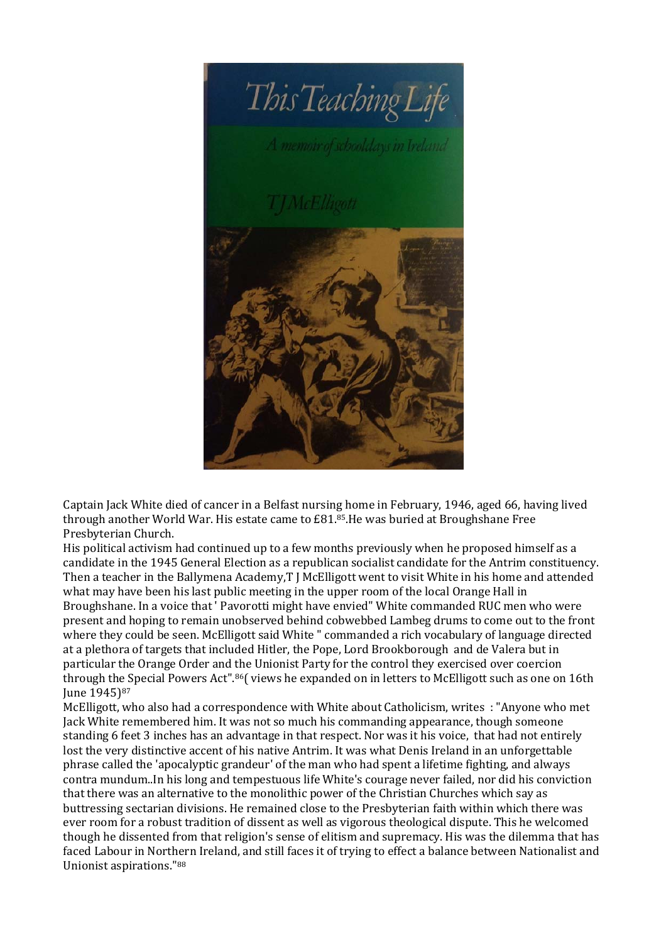

<span id="page-18-0"></span>Captain Jack White died of cancer in a Belfast nursing home in February, 1946, aged 66, having lived through another World War. His estate came to £81.<sup>[85](#page-20-16)</sup>.He was buried at Broughshane Free Presbyterian Church.

<span id="page-18-6"></span><span id="page-18-5"></span><span id="page-18-4"></span><span id="page-18-3"></span><span id="page-18-2"></span><span id="page-18-1"></span>His political activism had continued up to a few months previously when he proposed himself as a candidate in the 1945 General Election as a republican socialist candidate for the Antrim constituency. Then a teacher in the Ballymena Academy,T J McElligott went to visit White in his home and attended what may have been his last public meeting in the upper room of the local Orange Hall in Broughshane. In a voice that ' Pavorotti might have envied" White commanded RUC men who were present and hoping to remain unobserved behind cobwebbed Lambeg drums to come out to the front where they could be seen. McElligott said White " commanded a rich vocabulary of language directed at a plethora of targets that included Hitler, the Pope, Lord Brookborough and de Valera but in particular the Orange Order and [th](#page-20-17)e Unionist Party for the control they exercised over coercion through th[e S](#page-20-18)pecial Powers Act". 86( views he expanded on in letters to McElligott such as one on 16th June 1945)<sup>87</sup>

<span id="page-18-19"></span><span id="page-18-18"></span><span id="page-18-17"></span><span id="page-18-16"></span><span id="page-18-15"></span><span id="page-18-14"></span><span id="page-18-13"></span><span id="page-18-12"></span><span id="page-18-11"></span><span id="page-18-10"></span><span id="page-18-9"></span><span id="page-18-8"></span><span id="page-18-7"></span>McElligott, who also had a correspondence with White about Catholicism, writes : "Anyone who met Jack White remembered him. It was not so much his commanding appearance, though someone standing 6 feet 3 inches has an advantage in that respect. Nor was it his voice, that had not entirely lost the very distinctive accent of his native Antrim. It was what Denis Ireland in an unforgettable phrase called the 'apocalyptic grandeur' of the man who had spent a lifetime fighting, and always contra mundum..In his long and tempestuous life White's courage never failed, nor did his conviction that there was an alternative to the monolithic power of the Christian Churches which say as buttressing sectarian divisions. He remained close to the Presbyterian faith within which there was ever room for a robust tradition of dissent as well as vigorous theological dispute. This he welcomed though he dissented from that religion's sense of elitism and supremacy. His was the dilemma that has faced Labour in Northern Ireland, and still faces it of trying to effect a balance between Nationalist and Unionist aspirations."[88](#page-20-19)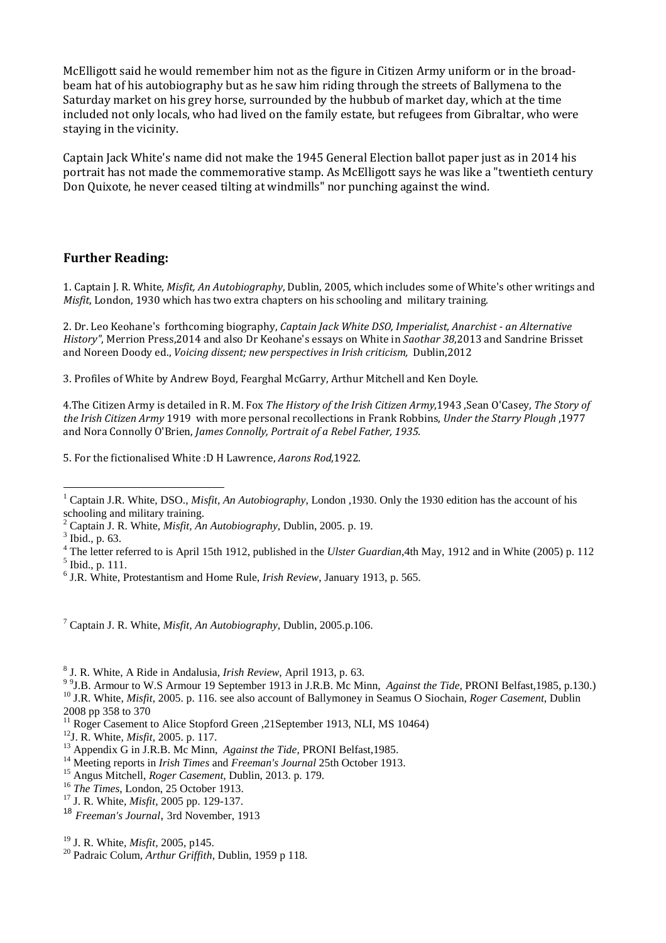<span id="page-19-0"></span>McElligott said he would remember him not as the figure in Citizen Army uniform or in the broadbeam hat of his autobiography but as he saw him riding through the streets of Ballymena to the Saturday market on his grey horse, surrounded by the hubbub of market day, which at the time included not only locals, who had lived on the family estate, but refugees from Gibraltar, who were staying in the vicinity.

<span id="page-19-7"></span><span id="page-19-6"></span><span id="page-19-5"></span><span id="page-19-4"></span><span id="page-19-3"></span><span id="page-19-2"></span><span id="page-19-1"></span>Captain Jack White's name did not make the 1945 General Election ballot paper just as in 2014 his portrait has not made the commemorative stamp. As McElligott says he was like a "twentieth century Don Quixote, he never ceased tilting at windmills" nor punching against the wind.

## <span id="page-19-10"></span><span id="page-19-9"></span><span id="page-19-8"></span>**Further Reading:**

<span id="page-19-12"></span><span id="page-19-11"></span>1. Captain J. R. White, *Misfit, An Autobiography*, Dublin, 2005, which includes some of White's other writings and *Misfit*, London, 1930 which has two extra chapters on his schooling and military training.

<span id="page-19-13"></span>2. Dr. Leo Keohane's forthcoming biography, *Captain Jack White DSO, Imperialist, Anarchist - an Alternative History"*, Merrion Press,2014 and also Dr Keohane's essays on White in *Saothar 38*,2013 and Sandrine Brisset and Noreen Doody ed., *Voicing dissent; new perspectives in Irish criticism,* Dublin,2012

<span id="page-19-15"></span><span id="page-19-14"></span>3. Profiles of White by Andrew Boyd, Fearghal McGarry, Arthur Mitchell and Ken Doyle.

<span id="page-19-19"></span><span id="page-19-18"></span><span id="page-19-17"></span><span id="page-19-16"></span>4.The Citizen Army is detailed in R. M. Fox *The History of the Irish Citizen Army*,1943 ,Sean O'Casey, *The Story of the Irish Citizen Army* 1919 with more personal recollections in Frank Robbins, *Under the Starry Plough* ,1977 and Nora Connolly O'Brien, *James Connolly, Portrait of a Rebel Father, 1935.*

<span id="page-19-22"></span><span id="page-19-21"></span><span id="page-19-20"></span>5. For the fictionalised White :D H Lawrence, *Aarons Rod*,1922.

<span id="page-19-33"></span><span id="page-19-32"></span><span id="page-19-31"></span><span id="page-19-30"></span><sup>7</sup> Captain J. R. White, *Misfit, An Autobiography*, Dublin, 2005.p.106.

<span id="page-19-36"></span><span id="page-19-35"></span><span id="page-19-34"></span><sup>8</sup> J. R. White, A Ride in Andalusia, *Irish Review*, April 1913, p. 63.<br><sup>99</sup>J.B. Armour to W.S Armour 19 September 1913 in J.R.B. Mc Minn, Against the Tide, PRONI Belfast, 1985, p.130.) <sup>10</sup> J.R. White, *Misfit*, 2005. p. 116. see also account of Ballymoney in Seamus O Siochain, Roger Casement, Dublin

<span id="page-19-39"></span><span id="page-19-38"></span><span id="page-19-37"></span>2008 pp 358 to 370<br><sup>11</sup> Roger Casement to Alice Stopford Green ,21September 1913, NLI, MS 10464)

- <span id="page-19-42"></span>
- 
- <span id="page-19-43"></span>

<span id="page-19-44"></span><sup>18</sup> *Freeman's Journal*, 3rd November, 1913

<span id="page-19-24"></span><span id="page-19-23"></span><sup>&</sup>lt;sup>1</sup> Captain J.R. White, DSO., *Misfit, An Autobiography*, London ,1930. Only the 1930 edition has the account of his schooling and military training.

<span id="page-19-27"></span><span id="page-19-26"></span><span id="page-19-25"></span> $\frac{2}{3}$  Captain J. R. White, *Misfit, An Autobiography*, Dublin, 2005. p. 19.  $\frac{3}{3}$  Ibid., p. 63.

<sup>&</sup>lt;sup>4</sup> The letter referred to is April 15th 1912, published in the *Ulster Guardian*,4th May, 1912 and in White (2005) p. 112<sup>5</sup> Ibid., p. 111.

<span id="page-19-29"></span><span id="page-19-28"></span><sup>6</sup> J.R. White, Protestantism and Home Rule, *Irish Review*, January 1913, p. 565.

<span id="page-19-41"></span><span id="page-19-40"></span><sup>&</sup>lt;sup>12</sup>J. R. White, *Misfit*, 2005. p. 117.<br><sup>13</sup> Appendix G in J.R.B. Mc Minn, *Against the Tide*, PRONI Belfast, 1985.<br><sup>14</sup> Meeting reports in *Irish Times* and *Freeman's Journal* 25th October 1913.<br><sup>15</sup> Angus Mitchell, *R* 

<span id="page-19-47"></span><span id="page-19-46"></span><span id="page-19-45"></span><sup>19</sup> J. R. White*, Misfit,* 2005, p145. <sup>20</sup> Padraic Colum, *Arthur Griffith*, Dublin, 1959 p 118.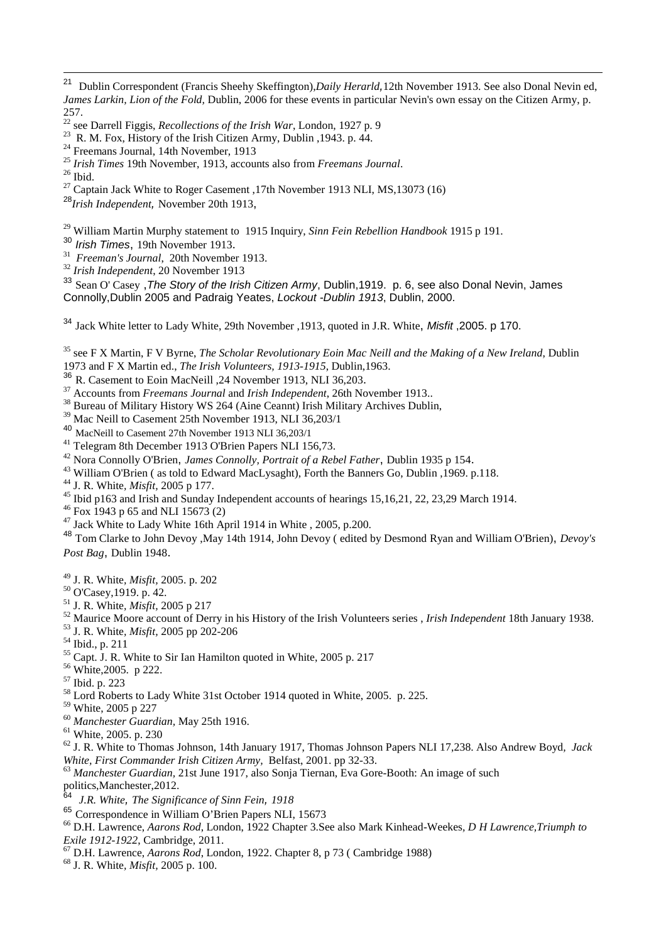- 
- 
- <span id="page-20-3"></span><span id="page-20-2"></span>
- <span id="page-20-1"></span><sup>23</sup> R. M. Fox, History of the Irish Citizen Army, Dublin , 1943. p. 44.<br><sup>24</sup> Freemans Journal, 14th November, 1913<br><sup>25</sup> *Irish Times* 19th November, 1913, accounts also from *Freemans Journal*.<br><sup>26</sup> Ibid.<br><sup>27</sup> Captain Ja
- <span id="page-20-5"></span><span id="page-20-4"></span><sup>28</sup>*Irish Independent,* November 20th 1913,
- <span id="page-20-6"></span><sup>29</sup> William Martin Murphy statement to 1915 Inquiry, *Sinn Fein Rebellion Handbook* 1915 p 191.<br><sup>30</sup> Irish Times, 19th November 1913.
- 
- <span id="page-20-7"></span><sup>31</sup> *Freeman's Journal*, 20th November 1913.<br><sup>32</sup> *Irish Independent*, 20 November 1913
- 

<span id="page-20-9"></span><span id="page-20-8"></span><sup>33</sup> Sean O' Casey ,*The Story of the Irish Citizen Army*, Dublin,1919. p. 6, see also Donal Nevin, James Connolly,Dublin 2005 and Padraig Yeates, *Lockout -Dublin 1913*, Dublin, 2000.

<span id="page-20-10"></span><sup>34</sup> Jack White letter to Lady White, 29th November ,1913, quoted in J.R. White, *Misfit* ,2005. p 170.

<span id="page-20-12"></span><span id="page-20-11"></span><sup>35</sup> see F X Martin, F V Byrne, *The Scholar Revolutionary Eoin Mac Neill and the Making of a New Ireland*, Dublin 1973 and F X Martin ed., *The Irish Volunteers, 1913-1915*, Dublin,1963.

- 
- 
- <span id="page-20-14"></span><span id="page-20-13"></span><sup>37</sup> Accounts from *Freemans Journal* and *Irish Independent*, 26th November 1913..<br><sup>38</sup> Bureau of Military History WS 264 (Aine Ceannt) Irish Military Archives Dublin,
- <span id="page-20-15"></span><sup>39</sup> Mac Neill to Casement 25th November 1913, NLI 36,203/1
- 
- 
- <span id="page-20-17"></span><span id="page-20-16"></span><sup>40</sup> MacNeill to Casement 27th November 1913 NLI 36,203/1<br><sup>41</sup> Telegram 8th December 1913 O'Brien Papers NLI 156,73.<br><sup>42</sup> Nora Connolly O'Brien, *James Connolly, Portrait of a Rebel Father*, Dublin 1935 p 154.
- 
- 
- <span id="page-20-19"></span><span id="page-20-18"></span><sup>43</sup> William O'Brien (as told to Edward MacLysaght), Forth the Banners Go, Dublin, 1969. p.118.<br><sup>44</sup> J. R. White, *Misfit*, 2005 p 177.<br><sup>45</sup> Ibid p163 and Irish and Sunday Independent accounts of hearings 15,16,21, 22, 23
- 
- 
- <sup>48</sup> Tom Clarke to John Devoy ,May 14th 1914, John Devoy ( edited by Desmond Ryan and William O'Brien), *Devoy's Post Bag*, Dublin 1948.
- 
- 
- 
- <sup>49</sup> J. R. White, *Misfit*, 2005. p. 202<br><sup>50</sup> O'Casey, 1919. p. 42.<br><sup>51</sup> J. R. White, *Misfit*, 2005 p 217<br><sup>52</sup> Maurice Moore account of Derry in his History of the Irish Volunteers series , *Irish Independent* 18th Janua
- 
- 
- 
- 
- 
- 
- 
- 
- 

<sup>60</sup> Manchester Guardian, May 25th 1916.<br><sup>61</sup> White, 2005. p. 230<br><sup>62</sup> J. R. White to Thomas Johnson, 14th January 1917, Thomas Johnson Papers NLI 17,238. Also Andrew Boyd, Jack<br>*White, First Commander Irish Citizen Army*,

<sup>63</sup> Manchester Guardian, 21st June 1917, also Sonja Tiernan, Eva Gore-Booth: An image of such

politics,Manchester,2012.

- <sup>64</sup> *J.R. White, The Significance of Sinn Fein, 1918*
- 
- <sup>65</sup> Correspondence in William O'Brien Papers NLI, 15673<br><sup>66</sup> D.H. Lawrence, *Aarons Rod*, London, 1922 Chapter 3.See also Mark Kinhead-Weekes, *D H Lawrence*, Triumph to *Exile 1912-1922*, Cambridge, 2011.
- *Exile 1912-1922*, Cambridge, 2011. 67 D.H. Lawrence, *Aarons Rod*, London, 1922. Chapter 8, p 73 ( Cambridge 1988) <sup>68</sup> J. R. White*, Misfit,* 2005 p. 100.
- 

<span id="page-20-0"></span> $21$ 21 Dublin Correspondent (Francis Sheehy Skeffington),*Daily Herarld,*12th November 1913. See also Donal Nevin ed, *James Larkin, Lion of the Fold,* Dublin, 2006 for these events in particular Nevin's own essay on the Citizen Army, p.

<sup>257.&</sup>lt;br><sup>22</sup> see Darrell Figgis, *Recollections of the Irish War*, London, 1927 p. 9